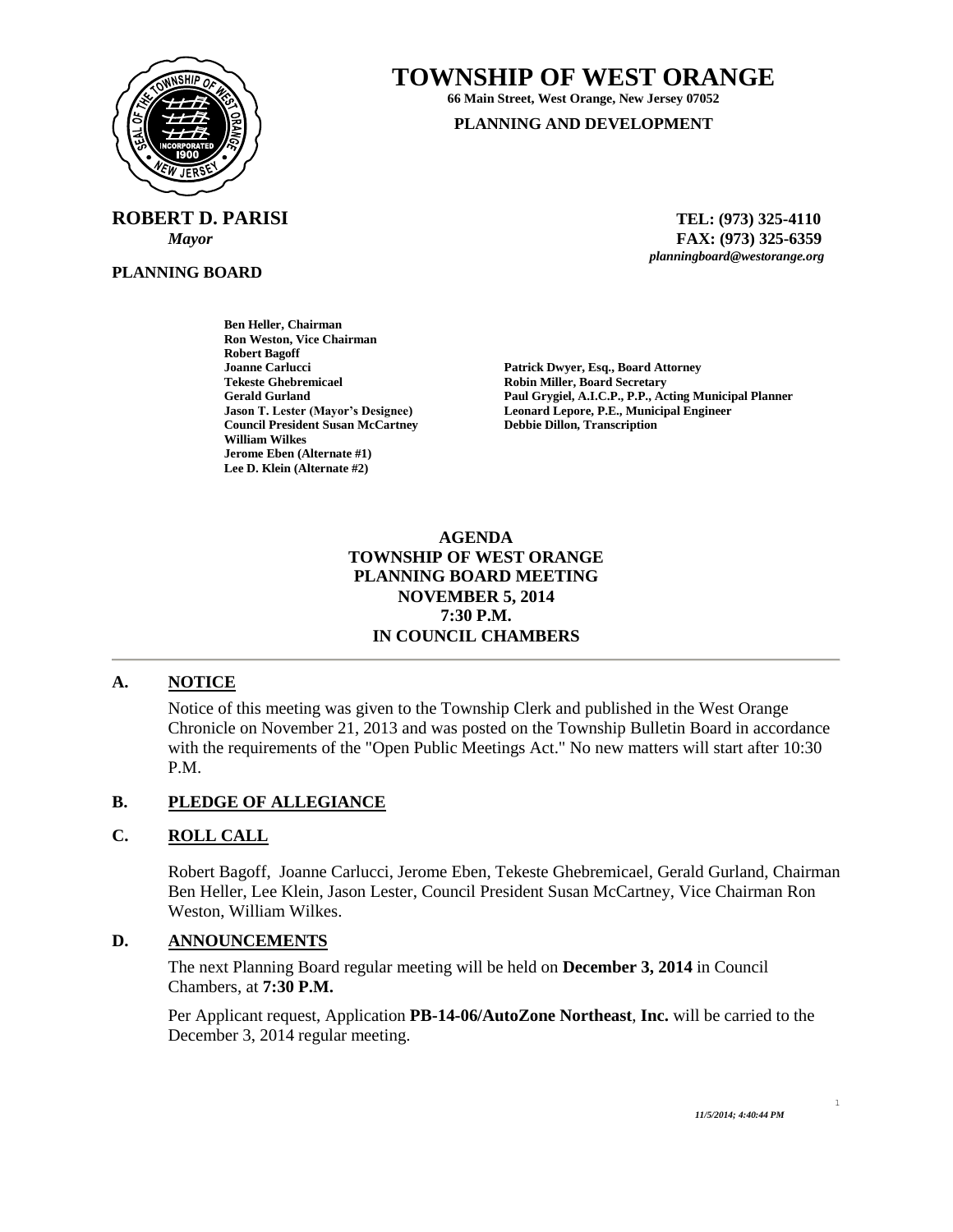

 **ROBERT D. PARISI TEL: (973) 325-4110**

**PLANNING BOARD**

# **TOWNSHIP OF WEST ORANGE**

**66 Main Street, West Orange, New Jersey 07052**

#### **PLANNING AND DEVELOPMENT**

 *Mayor* **FAX: (973) 325-6359** *planningboard@westorange.org*

**Ben Heller, Chairman Ron Weston, Vice Chairman Robert Bagoff Joanne Carlucci Patrick Dwyer, Esq., Board Attorney Tekeste Ghebremicael Robin Miller, Board Secretary Council President Susan McCartney William Wilkes Jerome Eben (Alternate #1) Lee D. Klein (Alternate #2)**

**Gerald Gurland Paul Grygiel, A.I.C.P., P.P., Acting Municipal Planner Jason T. Lester (Mayor's Designee) Leonard Lepore, P.E., Municipal Engineer**

# **AGENDA TOWNSHIP OF WEST ORANGE PLANNING BOARD MEETING NOVEMBER 5, 2014 7:30 P.M. IN COUNCIL CHAMBERS**

#### **A. NOTICE**

Notice of this meeting was given to the Township Clerk and published in the West Orange Chronicle on November 21, 2013 and was posted on the Township Bulletin Board in accordance with the requirements of the "Open Public Meetings Act." No new matters will start after 10:30 P.M.

#### **B. PLEDGE OF ALLEGIANCE**

#### **C. ROLL CALL**

Robert Bagoff, Joanne Carlucci, Jerome Eben, Tekeste Ghebremicael, Gerald Gurland, Chairman Ben Heller, Lee Klein, Jason Lester, Council President Susan McCartney, Vice Chairman Ron Weston, William Wilkes.

### **D. ANNOUNCEMENTS**

The next Planning Board regular meeting will be held on **December 3, 2014** in Council Chambers, at **7:30 P.M.**

Per Applicant request, Application **PB-14-06/AutoZone Northeast**, **Inc.** will be carried to the December 3, 2014 regular meeting.